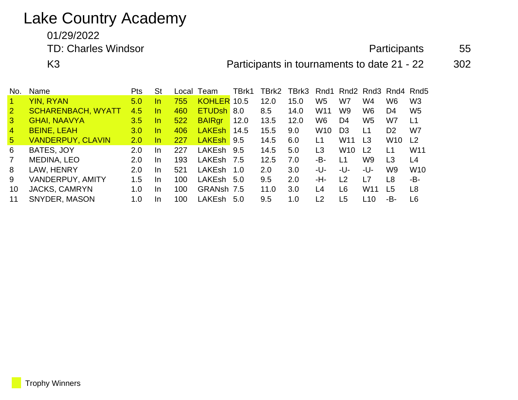## Lake Country Academy

01/29/2022

TD: Charles Windsor **Participants** 55

K3 **Participants in tournaments to date 21 - 22** 302

| No.             | Name                      | <b>Pts</b> | St        | Local | Team          | TBrk1 | TBrk2 | TBrk3 |                 |                 | Rnd1 Rnd2 Rnd3 Rnd4 Rnd5 |                 |                 |
|-----------------|---------------------------|------------|-----------|-------|---------------|-------|-------|-------|-----------------|-----------------|--------------------------|-----------------|-----------------|
|                 | <b>YIN, RYAN</b>          | 5.0        | In        | 755   | KOHLER 10.5   |       | 12.0  | 15.0  | W <sub>5</sub>  | W7              | W4                       | W6              | W <sub>3</sub>  |
| $\overline{2}$  | <b>SCHARENBACH, WYATT</b> | 4.5        | In        | 460   | <b>ETUDsh</b> | 8.0   | 8.5   | 14.0  | W <sub>11</sub> | W <sub>9</sub>  | W <sub>6</sub>           | D4              | W <sub>5</sub>  |
| $\mathbf{3}$    | <b>GHAI, NAAVYA</b>       | 3.5        | In.       | 522   | <b>BAIRgr</b> | 12.0  | 13.5  | 12.0  | W6              | D <sub>4</sub>  | W <sub>5</sub>           | W7              | L1              |
| $\overline{4}$  | <b>BEINE, LEAH</b>        | 3.0        | In.       | 406   | <b>LAKEsh</b> | 14.5  | 15.5  | 9.0   | W <sub>10</sub> | D <sub>3</sub>  | L1                       | D <sub>2</sub>  | W7              |
| $5\overline{)}$ | <b>VANDERPUY, CLAVIN</b>  | 2.0        | In.       | 227   | LAKEsh 9.5    |       | 14.5  | 6.0   | L1              | W <sub>11</sub> | L <sub>3</sub>           | W <sub>10</sub> | L <sub>2</sub>  |
| 6               | BATES, JOY                | 2.0        | In        | 227   | LAKEsh        | 9.5   | 14.5  | 5.0   | L <sub>3</sub>  | W <sub>10</sub> | L <sub>2</sub>           | L1              | W <sub>11</sub> |
| $\overline{7}$  | <b>MEDINA, LEO</b>        | 2.0        | In        | 193   | LAKEsh        | 7.5   | 12.5  | 7.0   | -В-             | L1              | W9                       | L3              | L <sub>4</sub>  |
| 8               | LAW, HENRY                | 2.0        | <u>In</u> | 521   | <b>LAKEsh</b> | 1.0   | 2.0   | 3.0   | -U-             | -U-             | -U-                      | W9              | <b>W10</b>      |
| 9               | VANDERPUY, AMITY          | 1.5        | In        | 100   | LAKEsh        | 5.0   | 9.5   | 2.0   | -Н-             | L2              | L7                       | L <sub>8</sub>  | -B-             |
| 10              | <b>JACKS, CAMRYN</b>      | 1.0        | In        | 100   | GRANsh 7.5    |       | 11.0  | 3.0   | L4              | L <sub>6</sub>  | W <sub>11</sub>          | L <sub>5</sub>  | L8              |
| 11              | SNYDER, MASON             | 1.0        | In.       | 100   | LAKEsh        | 5.0   | 9.5   | 1.0   | $\overline{2}$  | L5              | L <sub>10</sub>          | -В-             | L6              |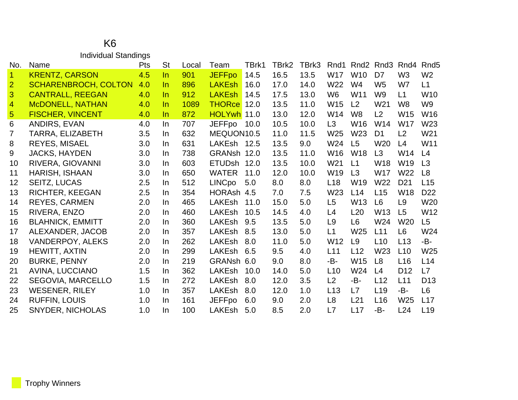#### K6 Individual Standings

| No.            | Name                        | Pts | <b>St</b> | Local | Team          | TBrk1 | TBrk2 | TBrk3 | Rnd1            | Rnd <sub>2</sub> | Rnd3            | Rnd4            | Rnd <sub>5</sub> |
|----------------|-----------------------------|-----|-----------|-------|---------------|-------|-------|-------|-----------------|------------------|-----------------|-----------------|------------------|
| $\mathbf{1}$   | <b>KRENTZ, CARSON</b>       | 4.5 | $\ln$     | 901   | <b>JEFFpo</b> | 14.5  | 16.5  | 13.5  | W17             | <b>W10</b>       | D7              | W <sub>3</sub>  | W <sub>2</sub>   |
| $\overline{2}$ | <b>SCHARENBROCH, COLTON</b> | 4.0 | In.       | 896   | <b>LAKEsh</b> | 16.0  | 17.0  | 14.0  | W22             | W <sub>4</sub>   | W <sub>5</sub>  | W7              | L1               |
| 3              | <b>CANTRALL, REEGAN</b>     | 4.0 | In.       | 912   | LAKEsh        | 14.5  | 17.5  | 13.0  | W <sub>6</sub>  | W11              | W <sub>9</sub>  | L1              | W <sub>10</sub>  |
| $\overline{4}$ | <b>McDONELL, NATHAN</b>     | 4.0 | In.       | 1089  | <b>THORce</b> | 12.0  | 13.5  | 11.0  | W15             | L <sub>2</sub>   | W <sub>21</sub> | W <sub>8</sub>  | W <sub>9</sub>   |
| $\overline{5}$ | <b>FISCHER, VINCENT</b>     | 4.0 | In.       | 872   | HOLYwh 11.0   |       | 13.0  | 12.0  | W14             | W <sub>8</sub>   | L2              | W15             | W16              |
| 6              | ANDIRS, EVAN                | 4.0 | In.       | 707   | <b>JEFFpo</b> | 10.0  | 10.5  | 10.0  | L3              | W16              | W14             | W17             | W23              |
| 7              | TARRA, ELIZABETH            | 3.5 | In.       | 632   | MEQUON10.5    |       | 11.0  | 11.5  | W <sub>25</sub> | W <sub>23</sub>  | D <sub>1</sub>  | L2              | W21              |
| 8              | <b>REYES, MISAEL</b>        | 3.0 | In.       | 631   | LAKEsh 12.5   |       | 13.5  | 9.0   | W24             | L5               | W <sub>20</sub> | L4              | W11              |
| 9              | <b>JACKS, HAYDEN</b>        | 3.0 | In.       | 738   | GRANsh 12.0   |       | 13.5  | 11.0  | W <sub>16</sub> | <b>W18</b>       | L3              | W14             | L4               |
| 10             | RIVERA, GIOVANNI            | 3.0 | In.       | 603   | ETUDsh 12.0   |       | 13.5  | 10.0  | W21             | L1               | W18             | W19             | L3               |
| 11             | HARISH, ISHAAN              | 3.0 | In.       | 650   | <b>WATER</b>  | 11.0  | 12.0  | 10.0  | W19             | L3               | <b>W17</b>      | W22             | L8               |
| 12             | <b>SEITZ, LUCAS</b>         | 2.5 | In.       | 512   | <b>LINCpo</b> | 5.0   | 8.0   | 8.0   | L <sub>18</sub> | W19              | W22             | D <sub>21</sub> | L15              |
| 13             | <b>RICHTER, KEEGAN</b>      | 2.5 | In.       | 354   | HORAsh 4.5    |       | 7.0   | 7.5   | W23             | L14              | L15             | <b>W18</b>      | D <sub>22</sub>  |
| 14             | <b>REYES, CARMEN</b>        | 2.0 | In.       | 465   | LAKEsh        | 11.0  | 15.0  | 5.0   | L <sub>5</sub>  | W13              | L <sub>6</sub>  | L <sub>9</sub>  | W20              |
| 15             | RIVERA, ENZO                | 2.0 | In.       | 460   | <b>LAKEsh</b> | 10.5  | 14.5  | 4.0   | L <sub>4</sub>  | L20              | W <sub>13</sub> | L5              | W <sub>12</sub>  |
| 16             | <b>BLAHNICK, EMMITT</b>     | 2.0 | In.       | 360   | LAKEsh        | 9.5   | 13.5  | 5.0   | L <sub>9</sub>  | L <sub>6</sub>   | W24             | W <sub>20</sub> | L5               |
| 17             | ALEXANDER, JACOB            | 2.0 | In.       | 357   | <b>LAKEsh</b> | 8.5   | 13.0  | 5.0   | L1              | W <sub>25</sub>  | L11             | L <sub>6</sub>  | W24              |
| 18             | <b>VANDERPOY, ALEKS</b>     | 2.0 | In.       | 262   | <b>LAKEsh</b> | 8.0   | 11.0  | 5.0   | W <sub>12</sub> | L9               | L10             | L13             | -B-              |
| 19             | HEWITT, AXTIN               | 2.0 | In.       | 299   | LAKEsh        | 6.5   | 9.5   | 4.0   | L11             | L12              | W23             | L10             | W25              |
| 20             | <b>BURKE, PENNY</b>         | 2.0 | In.       | 219   | GRANsh 6.0    |       | 9.0   | 8.0   | -B-             | <b>W15</b>       | L8              | L16             | L14              |
| 21             | <b>AVINA, LUCCIANO</b>      | 1.5 | In.       | 362   | LAKEsh        | 10.0  | 14.0  | 5.0   | L10             | W24              | L4              | D <sub>12</sub> | L7               |
| 22             | SEGOVIA, MARCELLO           | 1.5 | In.       | 272   | LAKEsh        | 8.0   | 12.0  | 3.5   | L2              | -B-              | L12             | L11             | D <sub>13</sub>  |
| 23             | <b>WESENER, RILEY</b>       | 1.0 | In.       | 357   | LAKEsh        | 8.0   | 12.0  | 1.0   | L13             | L7               | L <sub>19</sub> | -B-             | L <sub>6</sub>   |
| 24             | <b>RUFFIN, LOUIS</b>        | 1.0 | In.       | 161   | <b>JEFFpo</b> | 6.0   | 9.0   | 2.0   | L <sub>8</sub>  | L21              | L16             | W <sub>25</sub> | L17              |
| 25             | <b>SNYDER, NICHOLAS</b>     | 1.0 | In.       | 100   | LAKEsh        | 5.0   | 8.5   | 2.0   | L7              | L17              | -B-             | L24             | L <sub>19</sub>  |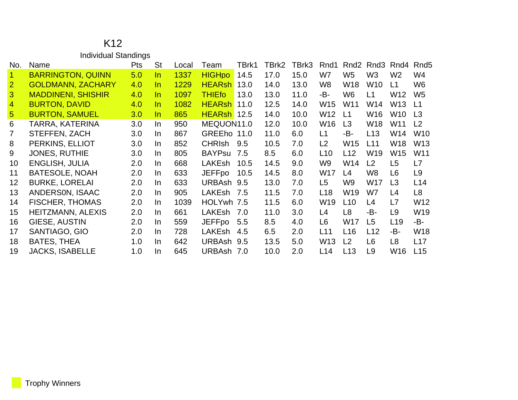|                 | <b>Individual Standings</b> |            |           |       |               |       |       |       |                 |                  |                 |                 |                  |
|-----------------|-----------------------------|------------|-----------|-------|---------------|-------|-------|-------|-----------------|------------------|-----------------|-----------------|------------------|
| No.             | Name                        | <b>Pts</b> | <b>St</b> | Local | Team          | TBrk1 | TBrk2 | TBrk3 | Rnd1            | Rnd <sub>2</sub> | Rnd3            | Rnd4            | Rnd <sub>5</sub> |
| $\mathbf{1}$    | <b>BARRINGTON, QUINN</b>    | 5.0        | $\ln$     | 1337  | <b>HIGHpo</b> | 14.5  | 17.0  | 15.0  | W7              | W <sub>5</sub>   | W <sub>3</sub>  | W <sub>2</sub>  | W4               |
| $\overline{2}$  | <b>GOLDMANN, ZACHARY</b>    | 4.0        | In.       | 1229  | <b>HEARsh</b> | 13.0  | 14.0  | 13.0  | W8              | <b>W18</b>       | W <sub>10</sub> | L1              | W <sub>6</sub>   |
| 3               | <b>MADDINENI, SHISHIR</b>   | 4.0        | $\ln$     | 1097  | <b>THIEfo</b> | 13.0  | 13.0  | 11.0  | -B-             | W <sub>6</sub>   | L1              | W <sub>12</sub> | W <sub>5</sub>   |
| $\overline{4}$  | <b>BURTON, DAVID</b>        | 4.0        | $\ln$     | 1082  | <b>HEARsh</b> | 11.0  | 12.5  | 14.0  | W15             | W11              | W14             | W13             | L1               |
| $\sqrt{5}$      | <b>BURTON, SAMUEL</b>       | 3.0        | In.       | 865   | <b>HEARsh</b> | 12.5  | 14.0  | 10.0  | W12             | L1               | W16             | W <sub>10</sub> | L3               |
| 6               | <b>TARRA, KATERINA</b>      | 3.0        | In.       | 950   | MEQUON11.0    |       | 12.0  | 10.0  | W16             | L3               | <b>W18</b>      | W11             | L <sub>2</sub>   |
| $\overline{7}$  | <b>STEFFEN, ZACH</b>        | 3.0        | In.       | 867   | GREEho 11.0   |       | 11.0  | 6.0   | L1              | -B-              | L13             | W14             | W <sub>10</sub>  |
| 8               | PERKINS, ELLIOT             | 3.0        | In.       | 852   | <b>CHRIsh</b> | 9.5   | 10.5  | 7.0   | L <sub>2</sub>  | W15              | L11             | W18             | W <sub>13</sub>  |
| 9               | <b>JONES, RUTHIE</b>        | 3.0        | In.       | 805   | <b>BAYPsu</b> | 7.5   | 8.5   | 6.0   | L <sub>10</sub> | L12              | W19             | W15             | W <sub>11</sub>  |
| 10 <sup>°</sup> | <b>ENGLISH, JULIA</b>       | 2.0        | In.       | 668   | <b>LAKEsh</b> | 10.5  | 14.5  | 9.0   | W9              | W14              | L <sub>2</sub>  | L <sub>5</sub>  | L7               |
| 11              | <b>BATESOLE, NOAH</b>       | 2.0        | In.       | 633   | <b>JEFFpo</b> | 10.5  | 14.5  | 8.0   | W17             | L4               | W8              | L6              | L <sub>9</sub>   |
| 12              | <b>BURKE, LORELAI</b>       | 2.0        | In.       | 633   | URBAsh 9.5    |       | 13.0  | 7.0   | L5              | W9               | W17             | L <sub>3</sub>  | L14              |
| 13              | ANDERSON, ISAAC             | 2.0        | In.       | 905   | LAKEsh        | 7.5   | 11.5  | 7.0   | L <sub>18</sub> | W <sub>19</sub>  | W7              | L4              | L <sub>8</sub>   |
| 14              | <b>FISCHER, THOMAS</b>      | 2.0        | In.       | 1039  | HOLYwh 7.5    |       | 11.5  | 6.0   | W19             | L10              | L4              | L7              | W12              |
| 15              | <b>HEITZMANN, ALEXIS</b>    | 2.0        | In.       | 661   | LAKEsh        | 7.0   | 11.0  | 3.0   | L4              | L <sub>8</sub>   | -B-             | L <sub>9</sub>  | W19              |
| 16              | <b>GIESE, AUSTIN</b>        | 2.0        | In.       | 559   | <b>JEFFpo</b> | 5.5   | 8.5   | 4.0   | L <sub>6</sub>  | <b>W17</b>       | L5              | L <sub>19</sub> | -B-              |
| 17              | SANTIAGO, GIO               | 2.0        | In.       | 728   | LAKEsh        | 4.5   | 6.5   | 2.0   | L11             | L16              | L12             | -B-             | W18              |
| 18              | <b>BATES, THEA</b>          | 1.0        | In.       | 642   | URBAsh 9.5    |       | 13.5  | 5.0   | W13             | L <sub>2</sub>   | L <sub>6</sub>  | L8              | L17              |
| 19              | <b>JACKS, ISABELLE</b>      | 1.0        | In        | 645   | URBAsh 7.0    |       | 10.0  | 2.0   | L14             | L13              | L9              | W <sub>16</sub> | L15              |

# K12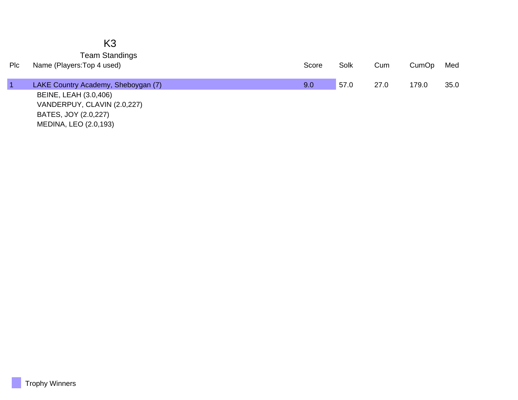|     | K <sub>3</sub>                      |       |      |      |       |      |
|-----|-------------------------------------|-------|------|------|-------|------|
|     | <b>Team Standings</b>               |       |      |      |       |      |
| Plc | Name (Players: Top 4 used)          | Score | Solk | Cum  | CumOp | Med  |
|     |                                     |       |      |      |       |      |
|     | LAKE Country Academy, Sheboygan (7) | 9.0   | 57.0 | 27.0 | 179.0 | 35.0 |
|     | BEINE, LEAH (3.0,406)               |       |      |      |       |      |
|     | VANDERPUY, CLAVIN (2.0,227)         |       |      |      |       |      |
|     | BATES, JOY (2.0,227)                |       |      |      |       |      |
|     | MEDINA, LEO (2.0,193)               |       |      |      |       |      |

Trophy Winners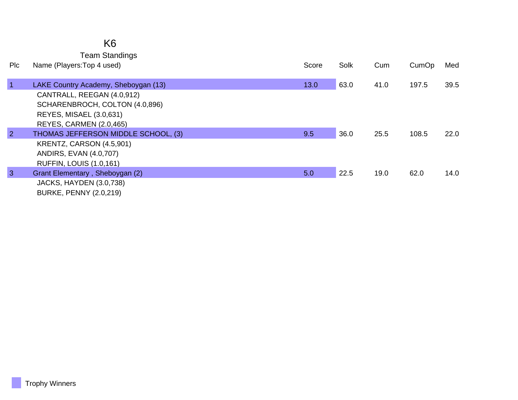### K6

Team Standings

| Plc            | Name (Players: Top 4 used)           | Score | Solk | Cum  | CumOp | Med  |
|----------------|--------------------------------------|-------|------|------|-------|------|
|                |                                      |       |      |      |       |      |
| $\vert$ 1      | LAKE Country Academy, Sheboygan (13) | 13.0  | 63.0 | 41.0 | 197.5 | 39.5 |
|                | CANTRALL, REEGAN (4.0,912)           |       |      |      |       |      |
|                | SCHARENBROCH, COLTON (4.0,896)       |       |      |      |       |      |
|                | <b>REYES, MISAEL (3.0,631)</b>       |       |      |      |       |      |
|                | <b>REYES, CARMEN (2.0,465)</b>       |       |      |      |       |      |
| $\overline{2}$ | THOMAS JEFFERSON MIDDLE SCHOOL, (3)  | 9.5   | 36.0 | 25.5 | 108.5 | 22.0 |
|                | KRENTZ, CARSON (4.5,901)             |       |      |      |       |      |
|                | ANDIRS, EVAN (4.0,707)               |       |      |      |       |      |
|                | <b>RUFFIN, LOUIS (1.0,161)</b>       |       |      |      |       |      |
| $\overline{3}$ | Grant Elementary, Sheboygan (2)      | 5.0   | 22.5 | 19.0 | 62.0  | 14.0 |
|                | <b>JACKS, HAYDEN (3.0,738)</b>       |       |      |      |       |      |
|                | <b>BURKE, PENNY (2.0,219)</b>        |       |      |      |       |      |